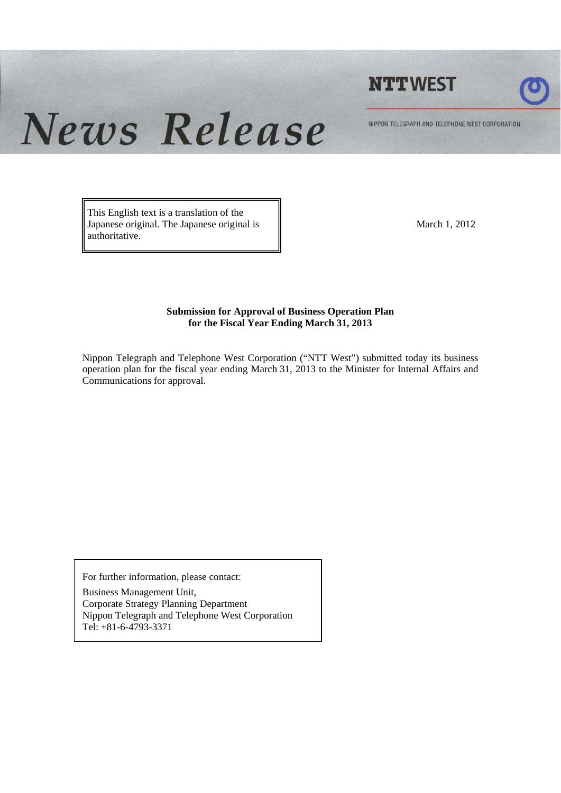



News Release NIPPON TELEGRAPH AND TELEPHONE WEST CORPORATION

> This English text is a translation of the Japanese original. The Japanese original is authoritative.

March 1, 2012

#### **Submission for Approval of Business Operation Plan for the Fiscal Year Ending March 31, 2013**

Nippon Telegraph and Telephone West Corporation ("NTT West") submitted today its business operation plan for the fiscal year ending March 31, 2013 to the Minister for Internal Affairs and Communications for approval.

For further information, please contact:

Business Management Unit, Corporate Strategy Planning Department Nippon Telegraph and Telephone West Corporation Tel: +81-6-4793-3371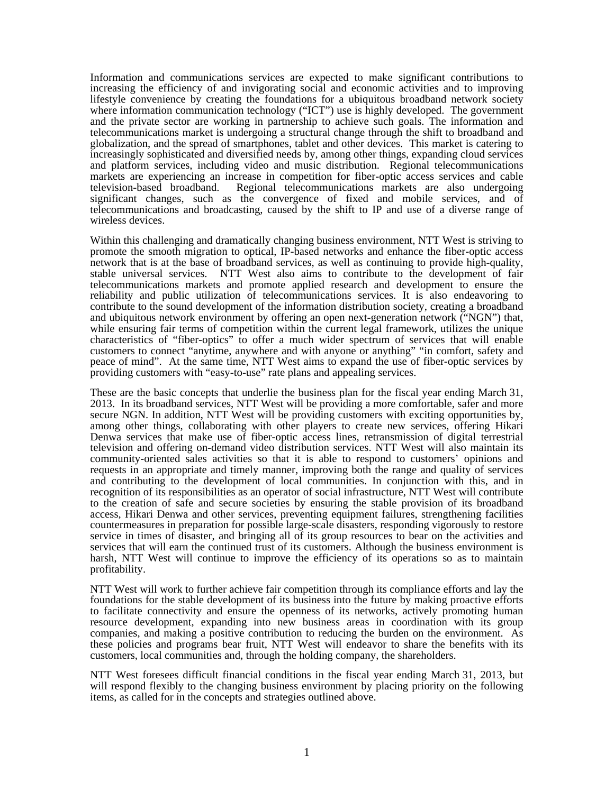Information and communications services are expected to make significant contributions to increasing the efficiency of and invigorating social and economic activities and to improving lifestyle convenience by creating the foundations for a ubiquitous broadband network society where information communication technology ("ICT") use is highly developed. The government and the private sector are working in partnership to achieve such goals. The information and telecommunications market is undergoing a structural change through the shift to broadband and globalization, and the spread of smartphones, tablet and other devices. This market is catering to increasingly sophisticated and diversified needs by, among other things, expanding cloud services and platform services, including video and music distribution. Regional telecommunications markets are experiencing an increase in competition for fiber-optic access services and cable television-based broadband. Regional telecommunications markets are also undergoing significant changes, such as the convergence of fixed and mobile services, and of telecommunications and broadcasting, caused by the shift to IP and use of a diverse range of wireless devices.

Within this challenging and dramatically changing business environment, NTT West is striving to promote the smooth migration to optical, IP-based networks and enhance the fiber-optic access network that is at the base of broadband services, as well as continuing to provide high-quality, stable universal services. NTT West also aims to contribute to the development of fair telecommunications markets and promote applied research and development to ensure the reliability and public utilization of telecommunications services. It is also endeavoring to contribute to the sound development of the information distribution society, creating a broadband and ubiquitous network environment by offering an open next-generation network ("NGN") that, while ensuring fair terms of competition within the current legal framework, utilizes the unique characteristics of "fiber-optics" to offer a much wider spectrum of services that will enable customers to connect "anytime, anywhere and with anyone or anything" "in comfort, safety and peace of mind". At the same time, NTT West aims to expand the use of fiber-optic services by providing customers with "easy-to-use" rate plans and appealing services.

These are the basic concepts that underlie the business plan for the fiscal year ending March 31, 2013. In its broadband services, NTT West will be providing a more comfortable, safer and more secure NGN. In addition, NTT West will be providing customers with exciting opportunities by, among other things, collaborating with other players to create new services, offering Hikari Denwa services that make use of fiber-optic access lines, retransmission of digital terrestrial television and offering on-demand video distribution services. NTT West will also maintain its community-oriented sales activities so that it is able to respond to customers' opinions and requests in an appropriate and timely manner, improving both the range and quality of services and contributing to the development of local communities. In conjunction with this, and in recognition of its responsibilities as an operator of social infrastructure, NTT West will contribute to the creation of safe and secure societies by ensuring the stable provision of its broadband access, Hikari Denwa and other services, preventing equipment failures, strengthening facilities countermeasures in preparation for possible large-scale disasters, responding vigorously to restore service in times of disaster, and bringing all of its group resources to bear on the activities and services that will earn the continued trust of its customers. Although the business environment is harsh, NTT West will continue to improve the efficiency of its operations so as to maintain profitability.

NTT West will work to further achieve fair competition through its compliance efforts and lay the foundations for the stable development of its business into the future by making proactive efforts to facilitate connectivity and ensure the openness of its networks, actively promoting human resource development, expanding into new business areas in coordination with its group companies, and making a positive contribution to reducing the burden on the environment. As these policies and programs bear fruit, NTT West will endeavor to share the benefits with its customers, local communities and, through the holding company, the shareholders.

NTT West foresees difficult financial conditions in the fiscal year ending March 31, 2013, but will respond flexibly to the changing business environment by placing priority on the following items, as called for in the concepts and strategies outlined above.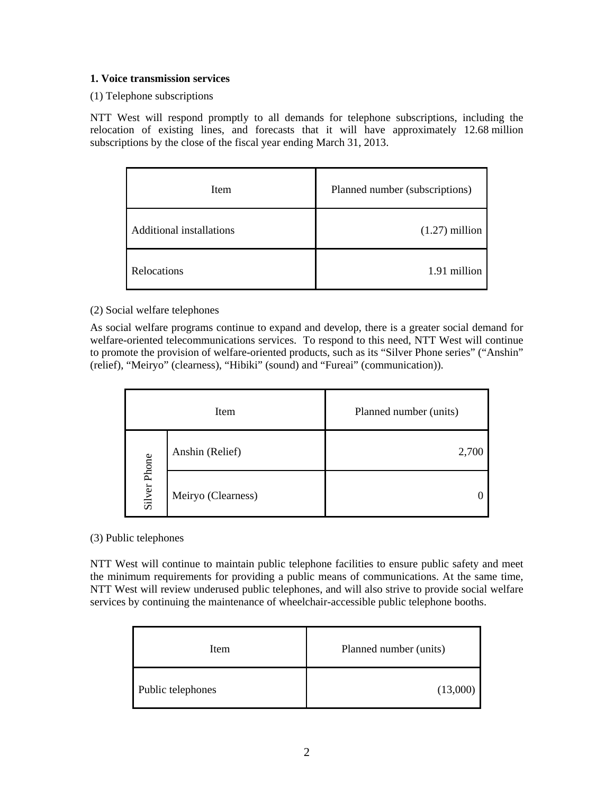#### **1. Voice transmission services**

(1) Telephone subscriptions

NTT West will respond promptly to all demands for telephone subscriptions, including the relocation of existing lines, and forecasts that it will have approximately 12.68 million subscriptions by the close of the fiscal year ending March 31, 2013.

| Item                     | Planned number (subscriptions) |  |
|--------------------------|--------------------------------|--|
| Additional installations | $(1.27)$ million               |  |
| Relocations              | 1.91 million                   |  |

## (2) Social welfare telephones

As social welfare programs continue to expand and develop, there is a greater social demand for welfare-oriented telecommunications services. To respond to this need, NTT West will continue to promote the provision of welfare-oriented products, such as its "Silver Phone series" ("Anshin" (relief), "Meiryo" (clearness), "Hibiki" (sound) and "Fureai" (communication)).

| Item         |                    | Planned number (units) |  |
|--------------|--------------------|------------------------|--|
|              | Anshin (Relief)    | 2,700                  |  |
| Silver Phone | Meiryo (Clearness) |                        |  |

#### (3) Public telephones

NTT West will continue to maintain public telephone facilities to ensure public safety and meet the minimum requirements for providing a public means of communications. At the same time, NTT West will review underused public telephones, and will also strive to provide social welfare services by continuing the maintenance of wheelchair-accessible public telephone booths.

| Item              | Planned number (units) |  |
|-------------------|------------------------|--|
| Public telephones | (13,000)               |  |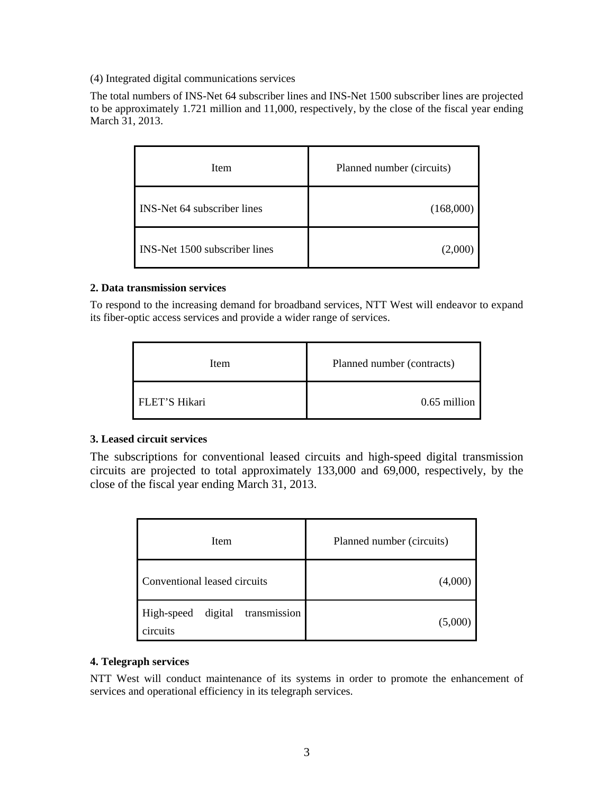(4) Integrated digital communications services

The total numbers of INS-Net 64 subscriber lines and INS-Net 1500 subscriber lines are projected to be approximately 1.721 million and 11,000, respectively, by the close of the fiscal year ending March 31, 2013.

| Item                                 | Planned number (circuits) |  |
|--------------------------------------|---------------------------|--|
| <b>INS-Net 64 subscriber lines</b>   | (168,000)                 |  |
| <b>INS-Net 1500 subscriber lines</b> | (2,000)                   |  |

#### **2. Data transmission services**

To respond to the increasing demand for broadband services, NTT West will endeavor to expand its fiber-optic access services and provide a wider range of services.

| Item          | Planned number (contracts) |  |
|---------------|----------------------------|--|
| FLET'S Hikari | 0.65 million               |  |

#### **3. Leased circuit services**

The subscriptions for conventional leased circuits and high-speed digital transmission circuits are projected to total approximately 133,000 and 69,000, respectively, by the close of the fiscal year ending March 31, 2013.

| Item                                              | Planned number (circuits) |  |
|---------------------------------------------------|---------------------------|--|
| Conventional leased circuits                      | $(4{,}000)$               |  |
| transmission<br>digital<br>High-speed<br>circuits | (5,000)                   |  |

#### **4. Telegraph services**

NTT West will conduct maintenance of its systems in order to promote the enhancement of services and operational efficiency in its telegraph services.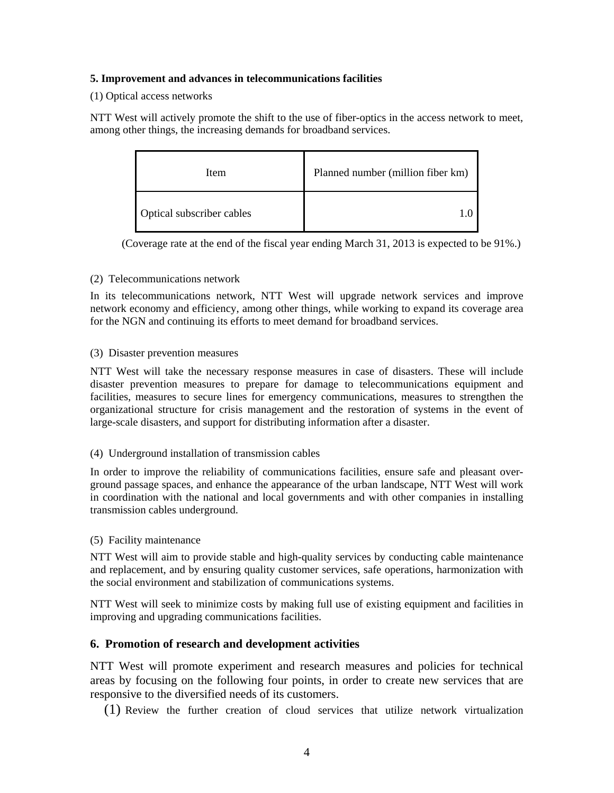#### **5. Improvement and advances in telecommunications facilities**

## (1) Optical access networks

NTT West will actively promote the shift to the use of fiber-optics in the access network to meet, among other things, the increasing demands for broadband services.

| Item                      | Planned number (million fiber km) |  |
|---------------------------|-----------------------------------|--|
| Optical subscriber cables |                                   |  |

(Coverage rate at the end of the fiscal year ending March 31, 2013 is expected to be 91%.)

## (2) Telecommunications network

In its telecommunications network, NTT West will upgrade network services and improve network economy and efficiency, among other things, while working to expand its coverage area for the NGN and continuing its efforts to meet demand for broadband services.

## (3) Disaster prevention measures

NTT West will take the necessary response measures in case of disasters. These will include disaster prevention measures to prepare for damage to telecommunications equipment and facilities, measures to secure lines for emergency communications, measures to strengthen the organizational structure for crisis management and the restoration of systems in the event of large-scale disasters, and support for distributing information after a disaster.

## (4) Underground installation of transmission cables

In order to improve the reliability of communications facilities, ensure safe and pleasant overground passage spaces, and enhance the appearance of the urban landscape, NTT West will work in coordination with the national and local governments and with other companies in installing transmission cables underground.

#### (5) Facility maintenance

NTT West will aim to provide stable and high-quality services by conducting cable maintenance and replacement, and by ensuring quality customer services, safe operations, harmonization with the social environment and stabilization of communications systems.

NTT West will seek to minimize costs by making full use of existing equipment and facilities in improving and upgrading communications facilities.

## **6. Promotion of research and development activities**

NTT West will promote experiment and research measures and policies for technical areas by focusing on the following four points, in order to create new services that are responsive to the diversified needs of its customers.

(1) Review the further creation of cloud services that utilize network virtualization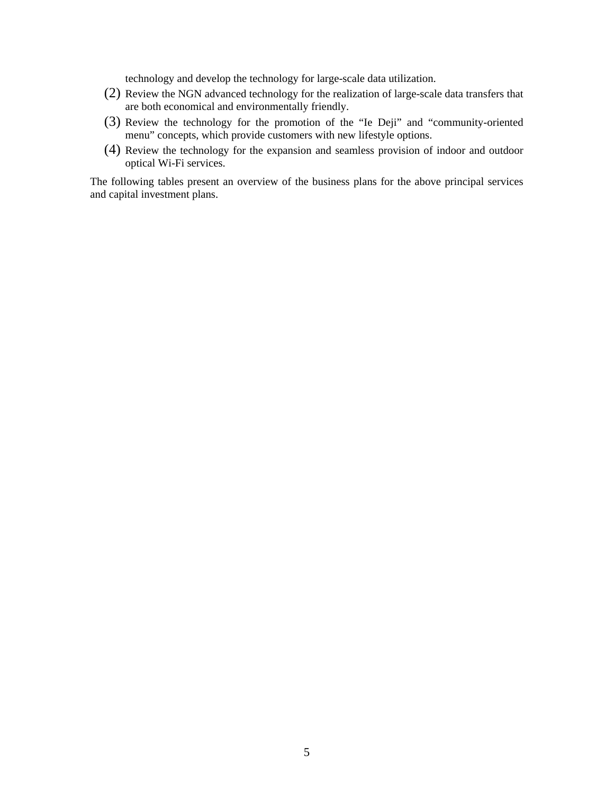technology and develop the technology for large-scale data utilization.

- (2) Review the NGN advanced technology for the realization of large-scale data transfers that are both economical and environmentally friendly.
- (3) Review the technology for the promotion of the "Ie Deji" and "community-oriented menu" concepts, which provide customers with new lifestyle options.
- (4) Review the technology for the expansion and seamless provision of indoor and outdoor optical Wi-Fi services.

The following tables present an overview of the business plans for the above principal services and capital investment plans.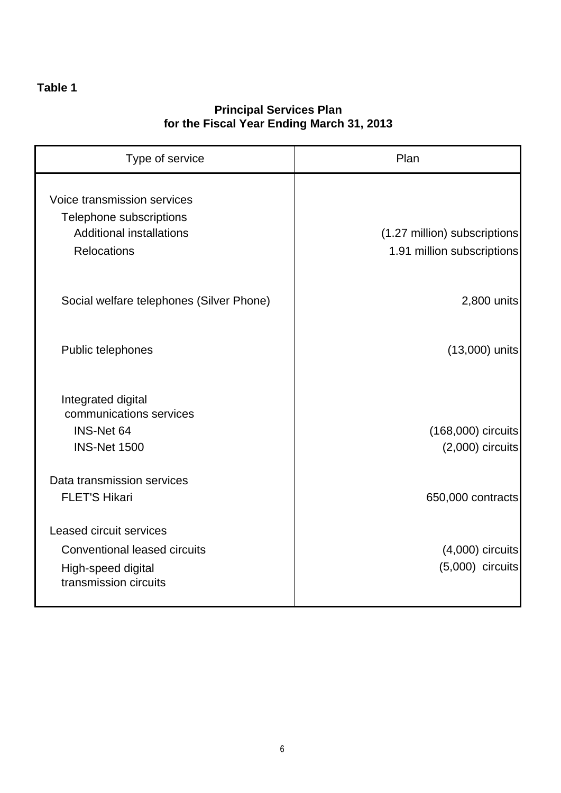# **Table 1**

## **Principal Services Plan for the Fiscal Year Ending March 31, 2013**

| Type of service                                                                                                      | Plan                                                       |  |
|----------------------------------------------------------------------------------------------------------------------|------------------------------------------------------------|--|
| Voice transmission services<br>Telephone subscriptions<br><b>Additional installations</b><br><b>Relocations</b>      | (1.27 million) subscriptions<br>1.91 million subscriptions |  |
| Social welfare telephones (Silver Phone)                                                                             | 2,800 units                                                |  |
| Public telephones                                                                                                    | (13,000) units                                             |  |
| Integrated digital<br>communications services<br>INS-Net 64<br><b>INS-Net 1500</b>                                   | (168,000) circuits<br>$(2,000)$ circuits                   |  |
| Data transmission services<br><b>FLET'S Hikari</b>                                                                   | 650,000 contracts                                          |  |
| <b>Leased circuit services</b><br><b>Conventional leased circuits</b><br>High-speed digital<br>transmission circuits | $(4,000)$ circuits<br>$(5,000)$ circuits                   |  |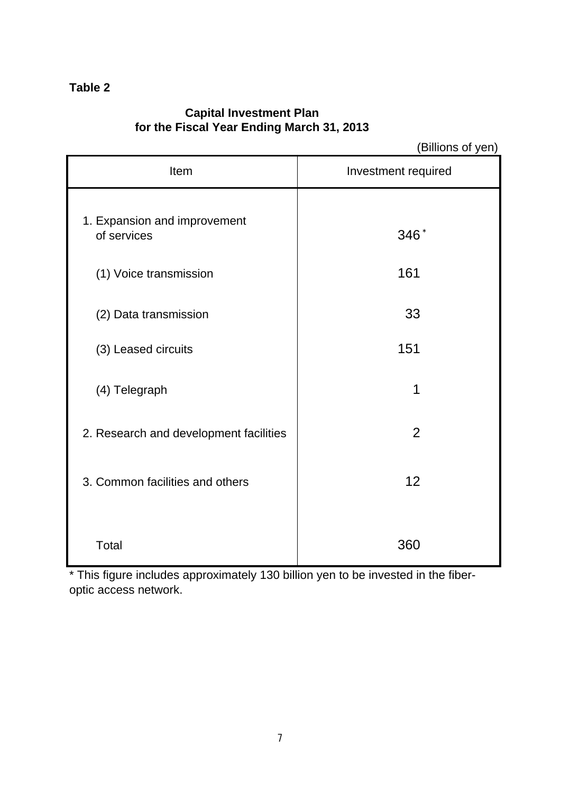## **Table 2**

# **Capital Investment Plan for the Fiscal Year Ending March 31, 2013**

(Billions of yen)

| Item                                        | Investment required |  |
|---------------------------------------------|---------------------|--|
| 1. Expansion and improvement<br>of services | 346*                |  |
| (1) Voice transmission                      | 161                 |  |
| (2) Data transmission                       | 33                  |  |
| (3) Leased circuits                         | 151                 |  |
| (4) Telegraph                               | 1                   |  |
| 2. Research and development facilities      | $\overline{2}$      |  |
| 3. Common facilities and others             | 12                  |  |
| Total                                       | 360                 |  |

\* This figure includes approximately 130 billion yen to be invested in the fiberoptic access network.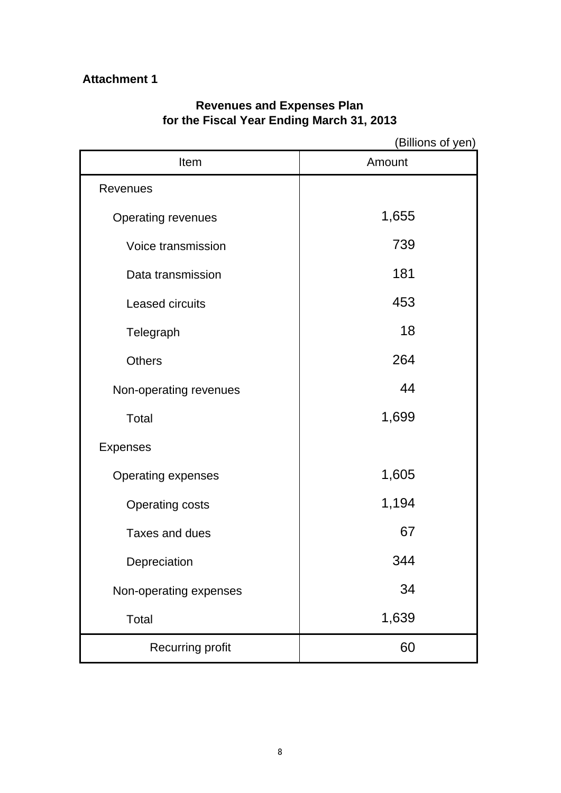# **Attachment 1**

## **Revenues and Expenses Plan for the Fiscal Year Ending March 31, 2013**

|                           | (Billions of yen) |
|---------------------------|-------------------|
| Item                      | Amount            |
| <b>Revenues</b>           |                   |
| <b>Operating revenues</b> | 1,655             |
| Voice transmission        | 739               |
| Data transmission         | 181               |
| Leased circuits           | 453               |
| Telegraph                 | 18                |
| <b>Others</b>             | 264               |
| Non-operating revenues    | 44                |
| <b>Total</b>              | 1,699             |
| <b>Expenses</b>           |                   |
| <b>Operating expenses</b> | 1,605             |
| <b>Operating costs</b>    | 1,194             |
| Taxes and dues            | 67                |
| Depreciation              | 344               |
| Non-operating expenses    | 34                |
| <b>Total</b>              | 1,639             |
| Recurring profit          | 60                |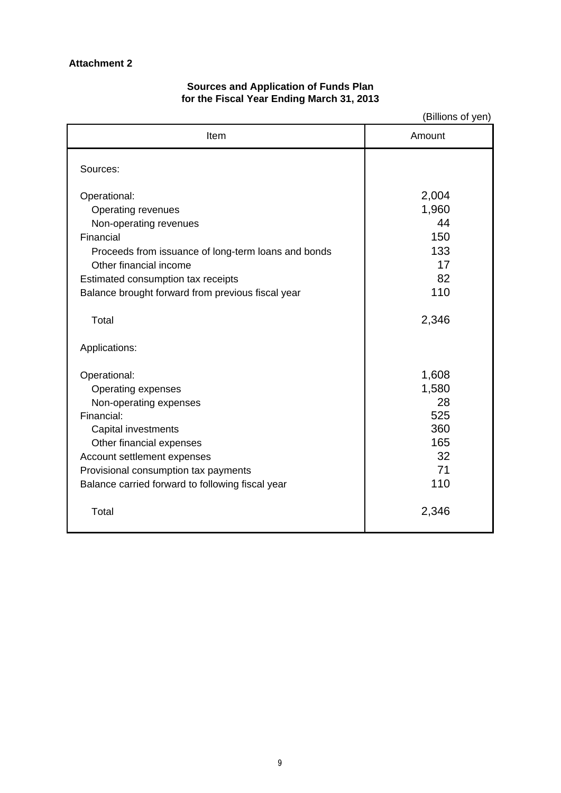## **Attachment 2**

## **Sources and Application of Funds Plan for the Fiscal Year Ending March 31, 2013**

(Billions of yen)

| Item                                                | Amount |  |
|-----------------------------------------------------|--------|--|
| Sources:                                            |        |  |
|                                                     |        |  |
| Operational:                                        | 2,004  |  |
| Operating revenues                                  | 1,960  |  |
| Non-operating revenues                              | 44     |  |
| Financial                                           | 150    |  |
| Proceeds from issuance of long-term loans and bonds | 133    |  |
| Other financial income                              | 17     |  |
| Estimated consumption tax receipts                  | 82     |  |
| Balance brought forward from previous fiscal year   | 110    |  |
|                                                     |        |  |
| Total                                               | 2,346  |  |
| Applications:                                       |        |  |
|                                                     |        |  |
| Operational:                                        | 1,608  |  |
| Operating expenses                                  | 1,580  |  |
| Non-operating expenses                              | 28     |  |
| Financial:                                          | 525    |  |
| Capital investments                                 | 360    |  |
| Other financial expenses                            | 165    |  |
| Account settlement expenses                         | 32     |  |
| Provisional consumption tax payments                | 71     |  |
| Balance carried forward to following fiscal year    | 110    |  |
|                                                     |        |  |
| Total                                               | 2,346  |  |
|                                                     |        |  |